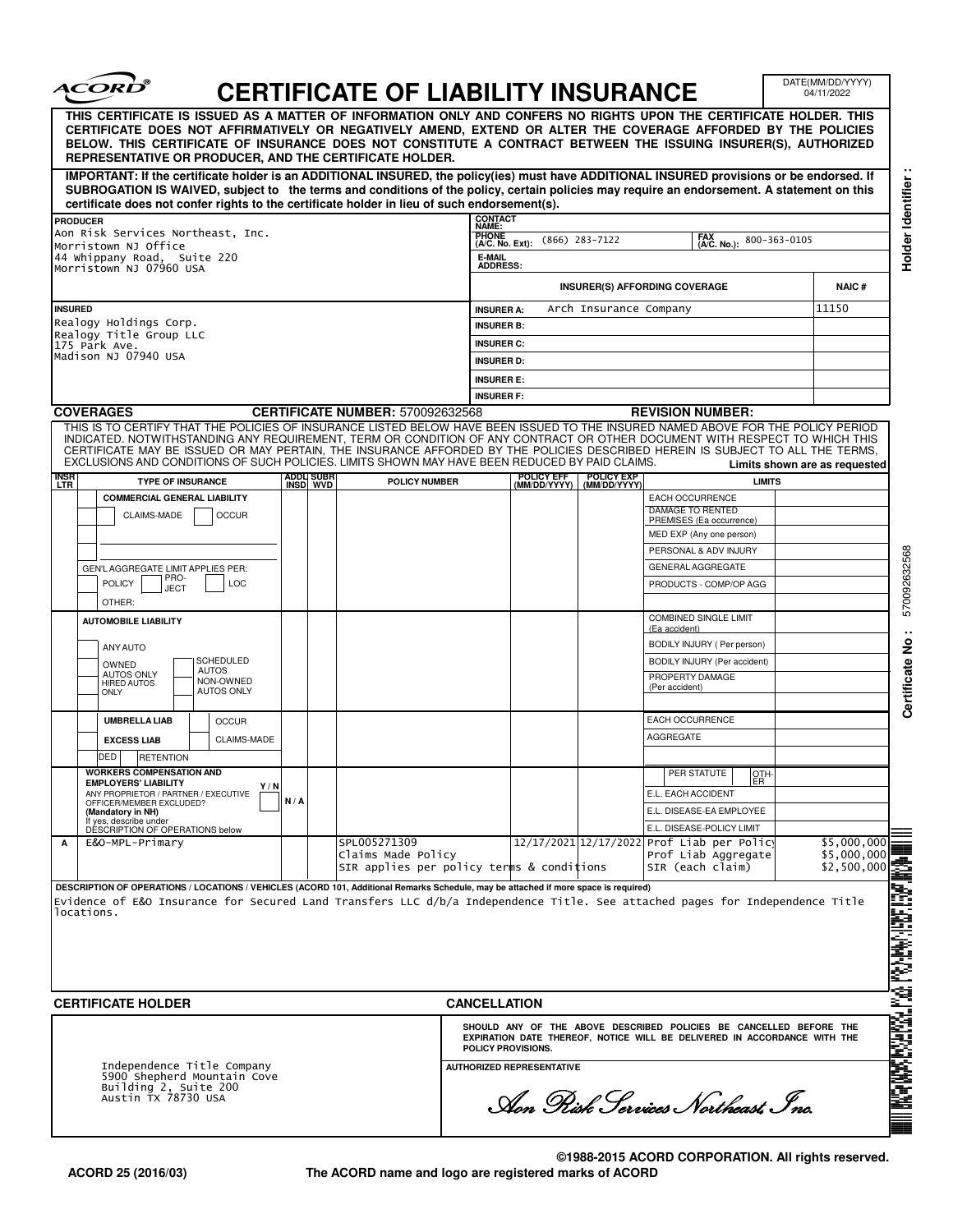| THIS CERTIFICATE IS ISSUED AS A MATTER OF INFORMATION ONLY AND CONFERS NO RIGHTS UPON THE CERTIFICATE HOLDER. THIS<br>CERTIFICATE DOES NOT AFFIRMATIVELY OR NEGATIVELY AMEND, EXTEND OR ALTER THE COVERAGE AFFORDED BY THE POLICIES<br>BELOW. THIS CERTIFICATE OF INSURANCE DOES NOT CONSTITUTE A CONTRACT BETWEEN THE ISSUING INSURER(S), AUTHORIZED<br>REPRESENTATIVE OR PRODUCER, AND THE CERTIFICATE HOLDER.<br>IMPORTANT: If the certificate holder is an ADDITIONAL INSURED, the policy(ies) must have ADDITIONAL INSURED provisions or be endorsed. If<br>SUBROGATION IS WAIVED, subject to the terms and conditions of the policy, certain policies may require an endorsement. A statement on this<br>certificate does not confer rights to the certificate holder in lieu of such endorsement(s).<br><b>CONTACT</b><br>NAME:<br><b>PRODUCER</b><br>Aon Risk Services Northeast, Inc.<br><b>PHONE</b><br>(A/C. No. Ext):<br>Morristown NJ Office<br>44 whippany Road, Suite 220<br>E-MAIL<br><b>ADDRESS:</b><br>Morristown NJ 07960 USA |                                                                                                |
|--------------------------------------------------------------------------------------------------------------------------------------------------------------------------------------------------------------------------------------------------------------------------------------------------------------------------------------------------------------------------------------------------------------------------------------------------------------------------------------------------------------------------------------------------------------------------------------------------------------------------------------------------------------------------------------------------------------------------------------------------------------------------------------------------------------------------------------------------------------------------------------------------------------------------------------------------------------------------------------------------------------------------------------------------|------------------------------------------------------------------------------------------------|
|                                                                                                                                                                                                                                                                                                                                                                                                                                                                                                                                                                                                                                                                                                                                                                                                                                                                                                                                                                                                                                                  |                                                                                                |
|                                                                                                                                                                                                                                                                                                                                                                                                                                                                                                                                                                                                                                                                                                                                                                                                                                                                                                                                                                                                                                                  |                                                                                                |
|                                                                                                                                                                                                                                                                                                                                                                                                                                                                                                                                                                                                                                                                                                                                                                                                                                                                                                                                                                                                                                                  |                                                                                                |
|                                                                                                                                                                                                                                                                                                                                                                                                                                                                                                                                                                                                                                                                                                                                                                                                                                                                                                                                                                                                                                                  | FAX<br>(A/C. No.):<br>$(866)$ 283-7122<br>800-363-0105                                         |
|                                                                                                                                                                                                                                                                                                                                                                                                                                                                                                                                                                                                                                                                                                                                                                                                                                                                                                                                                                                                                                                  |                                                                                                |
|                                                                                                                                                                                                                                                                                                                                                                                                                                                                                                                                                                                                                                                                                                                                                                                                                                                                                                                                                                                                                                                  |                                                                                                |
|                                                                                                                                                                                                                                                                                                                                                                                                                                                                                                                                                                                                                                                                                                                                                                                                                                                                                                                                                                                                                                                  | <b>NAIC#</b><br><b>INSURER(S) AFFORDING COVERAGE</b>                                           |
| <b>INSURED</b><br><b>INSURER A:</b>                                                                                                                                                                                                                                                                                                                                                                                                                                                                                                                                                                                                                                                                                                                                                                                                                                                                                                                                                                                                              | 11150<br>Arch Insurance Company                                                                |
| Realogy Holdings Corp.<br><b>INSURER B:</b><br>Realogy Title Group LLC                                                                                                                                                                                                                                                                                                                                                                                                                                                                                                                                                                                                                                                                                                                                                                                                                                                                                                                                                                           |                                                                                                |
| <b>INSURER C:</b><br>175 Park Ave.<br>Madison NJ 07940 USA                                                                                                                                                                                                                                                                                                                                                                                                                                                                                                                                                                                                                                                                                                                                                                                                                                                                                                                                                                                       |                                                                                                |
| <b>INSURER D:</b>                                                                                                                                                                                                                                                                                                                                                                                                                                                                                                                                                                                                                                                                                                                                                                                                                                                                                                                                                                                                                                |                                                                                                |
| <b>INSURER E:</b>                                                                                                                                                                                                                                                                                                                                                                                                                                                                                                                                                                                                                                                                                                                                                                                                                                                                                                                                                                                                                                |                                                                                                |
| <b>INSURER F:</b><br><b>COVERAGES</b><br><b>CERTIFICATE NUMBER: 570092632568</b>                                                                                                                                                                                                                                                                                                                                                                                                                                                                                                                                                                                                                                                                                                                                                                                                                                                                                                                                                                 | <b>REVISION NUMBER:</b>                                                                        |
| THIS IS TO CERTIFY THAT THE POLICIES OF INSURANCE LISTED BELOW HAVE BEEN ISSUED TO THE INSURED NAMED ABOVE FOR THE POLICY PERIOD                                                                                                                                                                                                                                                                                                                                                                                                                                                                                                                                                                                                                                                                                                                                                                                                                                                                                                                 |                                                                                                |
| INDICATED. NOTWITHSTANDING ANY REQUIREMENT, TERM OR CONDITION OF ANY CONTRACT OR OTHER DOCUMENT WITH RESPECT TO WHICH THIS<br>CERTIFICATE MAY BE ISSUED OR MAY PERTAIN, THE INSURANCE AFFORDED BY THE POLICIES DESCRIBED HEREIN IS SUBJECT TO ALL THE TERMS.                                                                                                                                                                                                                                                                                                                                                                                                                                                                                                                                                                                                                                                                                                                                                                                     |                                                                                                |
| EXCLUSIONS AND CONDITIONS OF SUCH POLICIES. LIMITS SHOWN MAY HAVE BEEN REDUCED BY PAID CLAIMS.                                                                                                                                                                                                                                                                                                                                                                                                                                                                                                                                                                                                                                                                                                                                                                                                                                                                                                                                                   | Limits shown are as requested                                                                  |
| POLICY EFF<br>(MM/DD/YYYY)<br><b>INSR</b><br>LTR<br>ADDLI SUBR<br>INSD_WVD<br><b>TYPE OF INSURANCE</b><br><b>POLICY NUMBER</b>                                                                                                                                                                                                                                                                                                                                                                                                                                                                                                                                                                                                                                                                                                                                                                                                                                                                                                                   | POLICY EXP<br>(MM/DD/YYYY)<br><b>LIMITS</b>                                                    |
| <b>COMMERCIAL GENERAL LIABILITY</b>                                                                                                                                                                                                                                                                                                                                                                                                                                                                                                                                                                                                                                                                                                                                                                                                                                                                                                                                                                                                              | EACH OCCURRENCE<br>DAMAGE TO RENTED                                                            |
| <b>OCCUR</b><br>CLAIMS-MADE                                                                                                                                                                                                                                                                                                                                                                                                                                                                                                                                                                                                                                                                                                                                                                                                                                                                                                                                                                                                                      | PREMISES (Ea occurrence)                                                                       |
|                                                                                                                                                                                                                                                                                                                                                                                                                                                                                                                                                                                                                                                                                                                                                                                                                                                                                                                                                                                                                                                  | MED EXP (Any one person)                                                                       |
|                                                                                                                                                                                                                                                                                                                                                                                                                                                                                                                                                                                                                                                                                                                                                                                                                                                                                                                                                                                                                                                  | PERSONAL & ADV INJURY<br><b>GENERAL AGGREGATE</b>                                              |
| GEN'L AGGREGATE LIMIT APPLIES PER:<br>PRO-<br><b>POLICY</b><br><b>LOC</b>                                                                                                                                                                                                                                                                                                                                                                                                                                                                                                                                                                                                                                                                                                                                                                                                                                                                                                                                                                        | PRODUCTS - COMP/OP AGG                                                                         |
| <b>JECT</b><br>OTHER:                                                                                                                                                                                                                                                                                                                                                                                                                                                                                                                                                                                                                                                                                                                                                                                                                                                                                                                                                                                                                            |                                                                                                |
| <b>AUTOMOBILE LIABILITY</b>                                                                                                                                                                                                                                                                                                                                                                                                                                                                                                                                                                                                                                                                                                                                                                                                                                                                                                                                                                                                                      | <b>COMBINED SINGLE LIMIT</b>                                                                   |
|                                                                                                                                                                                                                                                                                                                                                                                                                                                                                                                                                                                                                                                                                                                                                                                                                                                                                                                                                                                                                                                  | (Ea accident)                                                                                  |
| ANY AUTO<br>SCHEDULED                                                                                                                                                                                                                                                                                                                                                                                                                                                                                                                                                                                                                                                                                                                                                                                                                                                                                                                                                                                                                            | BODILY INJURY ( Per person)<br>BODILY INJURY (Per accident)                                    |
| OWNED<br><b>AUTOS</b><br><b>AUTOS ONLY</b><br>NON-OWNED                                                                                                                                                                                                                                                                                                                                                                                                                                                                                                                                                                                                                                                                                                                                                                                                                                                                                                                                                                                          | PROPERTY DAMAGE                                                                                |
| <b>HIRED AUTOS</b><br><b>AUTOS ONLY</b><br><b>ONLY</b>                                                                                                                                                                                                                                                                                                                                                                                                                                                                                                                                                                                                                                                                                                                                                                                                                                                                                                                                                                                           | (Per accident)                                                                                 |
|                                                                                                                                                                                                                                                                                                                                                                                                                                                                                                                                                                                                                                                                                                                                                                                                                                                                                                                                                                                                                                                  | <b>EACH OCCURRENCE</b>                                                                         |
| <b>UMBRELLA LIAB</b><br><b>OCCUR</b>                                                                                                                                                                                                                                                                                                                                                                                                                                                                                                                                                                                                                                                                                                                                                                                                                                                                                                                                                                                                             | <b>AGGREGATE</b>                                                                               |
| CLAIMS-MADE<br><b>EXCESS LIAB</b><br>DED<br><b>RETENTION</b>                                                                                                                                                                                                                                                                                                                                                                                                                                                                                                                                                                                                                                                                                                                                                                                                                                                                                                                                                                                     |                                                                                                |
| <b>WORKERS COMPENSATION AND</b>                                                                                                                                                                                                                                                                                                                                                                                                                                                                                                                                                                                                                                                                                                                                                                                                                                                                                                                                                                                                                  | PER STATUTE<br>OTH-                                                                            |
| <b>EMPLOYERS' LIABILITY</b><br>Y/N<br>ANY PROPRIETOR / PARTNER / EXECUTIVE                                                                                                                                                                                                                                                                                                                                                                                                                                                                                                                                                                                                                                                                                                                                                                                                                                                                                                                                                                       | ER.<br>E.L. EACH ACCIDENT                                                                      |
| N/A<br>OFFICER/MEMBER EXCLUDED?<br>(Mandatory in NH)                                                                                                                                                                                                                                                                                                                                                                                                                                                                                                                                                                                                                                                                                                                                                                                                                                                                                                                                                                                             | E.L. DISEASE-EA EMPLOYEE                                                                       |
| If yes, describe under<br>DESCRIPTION OF OPERATIONS below                                                                                                                                                                                                                                                                                                                                                                                                                                                                                                                                                                                                                                                                                                                                                                                                                                                                                                                                                                                        | E.L. DISEASE-POLICY LIMIT                                                                      |
| SPL005271309<br>E&O-MPL-Primary<br>Α<br>Claims Made Policy                                                                                                                                                                                                                                                                                                                                                                                                                                                                                                                                                                                                                                                                                                                                                                                                                                                                                                                                                                                       | 12/17/2021 12/17/2022 Prof Liab per Polic<br>\$5,000,000<br>\$5,000,000<br>Prof Liab Aggregate |
| SIR applies per policy terms & conditions                                                                                                                                                                                                                                                                                                                                                                                                                                                                                                                                                                                                                                                                                                                                                                                                                                                                                                                                                                                                        | \$2,500,000<br>SIR (each claim)                                                                |

┓

 $\infty$ 

**©1988-2015 ACORD CORPORATION. All rights reserved. The ACORD name and logo are registered marks of ACORD**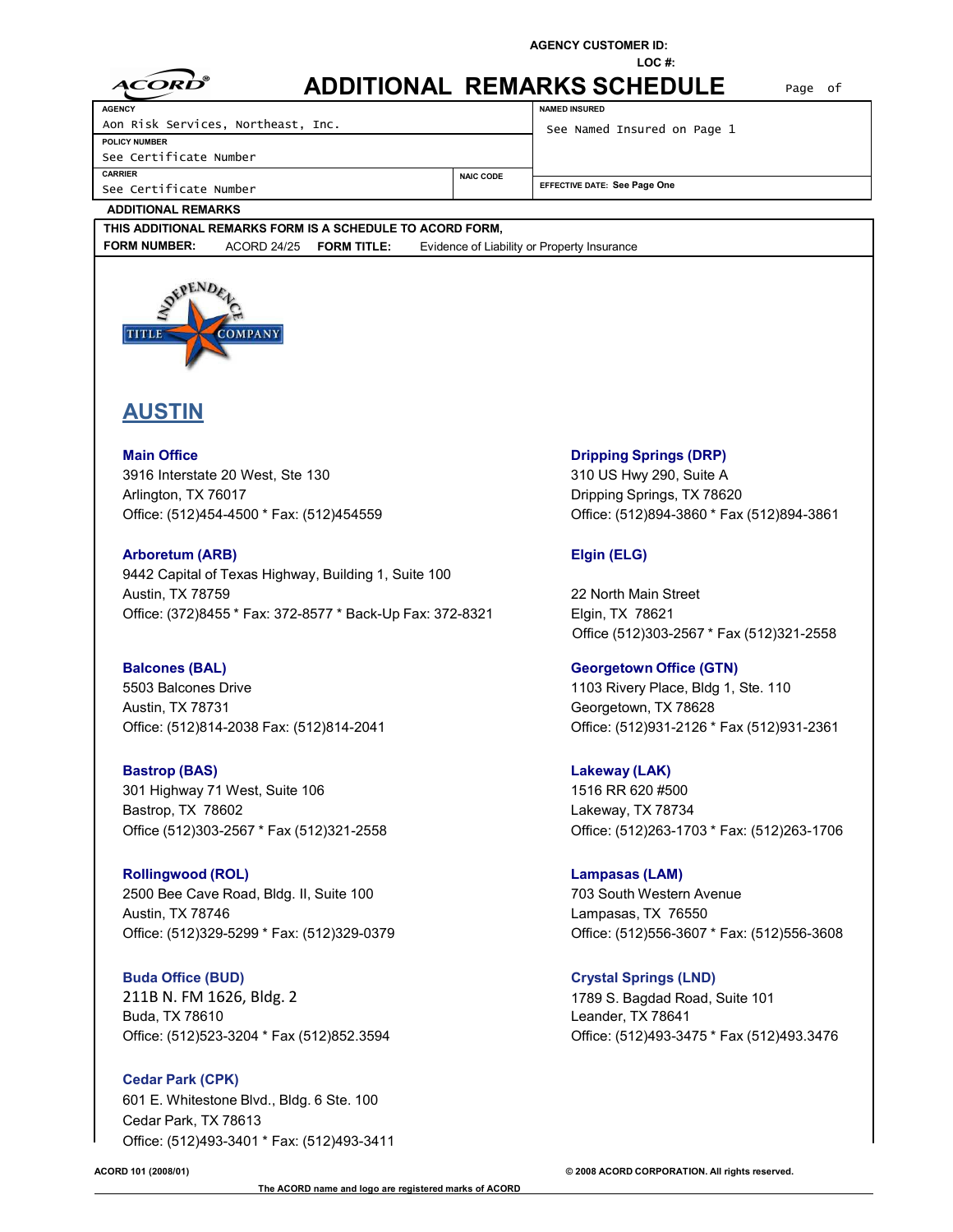**ADDITIONAL REMARKS SCHEDULE** Page of

**NAMED INSURED**

**NAIC CODE**

**LOC #:**

| ൈ          |  |
|------------|--|
| CORD<br>A. |  |
|            |  |

**AGENCY**

Aon Risk Services, Northeast, Inc.

**POLICY NUMBER** See Certificate Number

**CARRIER**

See Certificate Number

See Named Insured on Page 1

**EFFECTIVE DATE: See Page One**

### **ADDITIONAL REMARKS**

**THIS ADDITIONAL REMARKS FORM IS A SCHEDULE TO ACORD FORM, FORM NUMBER:** ACORD 24/25 **FORM TITLE:** Evidence of Liability or Property Insurance



# **AUSTIN**

**Main Office Dripping Springs (DRP)** 3916 Interstate 20 West, Ste 130 310 US Hwy 290, Suite A Arlington, TX 76017 **Dripping Springs, TX 78620** 

**Arboretum (ARB) Elgin (ELG)** 9442 Capital of Texas Highway, Building 1, Suite 100 Austin, TX 78759 22 North Main Street Office: (372)8455 \* Fax: 372-8577 \* Back-Up Fax: 372-8321 Elgin, TX 78621

**Balcones (BAL) Georgetown Office (GTN)** 5503 Balcones Drive 1103 Rivery Place, Bldg 1, Ste. 110 Austin, TX 78731 **Austin, TX 78628** 

**Bastrop (BAS) Lakeway (LAK)** 301 Highway 71 West, Suite 106 1516 RR 620 #500 Bastrop, TX 78602 **Lakeway, TX 78734** 

**Rollingwood (ROL) Lampasas (LAM)** 2500 Bee Cave Road, Bldg. II, Suite 100 703 South Western Avenue Austin, TX 78746 Lampasas, TX 76550

**Buda Office (BUD) Crystal Springs (LND)** 211B N. FM 1626, Bldg. 2 1789 S. Bagdad Road, Suite 101 Buda, TX 78610 Leander, TX 78641 Office: (512)523-3204 \* Fax (512)852.3594 Office: (512)493-3475 \* Fax (512)493.3476

**Cedar Park (CPK)** 601 E. Whitestone Blvd., Bldg. 6 Ste. 100 Cedar Park, TX 78613 Office: (512)493-3401 \* Fax: (512)493-3411

Office: (512)454-4500 \* Fax: (512)454559 Office: (512)894-3860 \* Fax (512)894-3861

Office (512)303-2567 \* Fax (512)321-2558

Office: (512)814-2038 Fax: (512)814-2041 Office: (512)931-2126 \* Fax (512)931-2361

Office (512)303-2567 \* Fax (512)321-2558 Office: (512)263-1703 \* Fax: (512)263-1706

Office: (512)329-5299 \* Fax: (512)329-0379 Office: (512)556-3607 \* Fax: (512)556-3608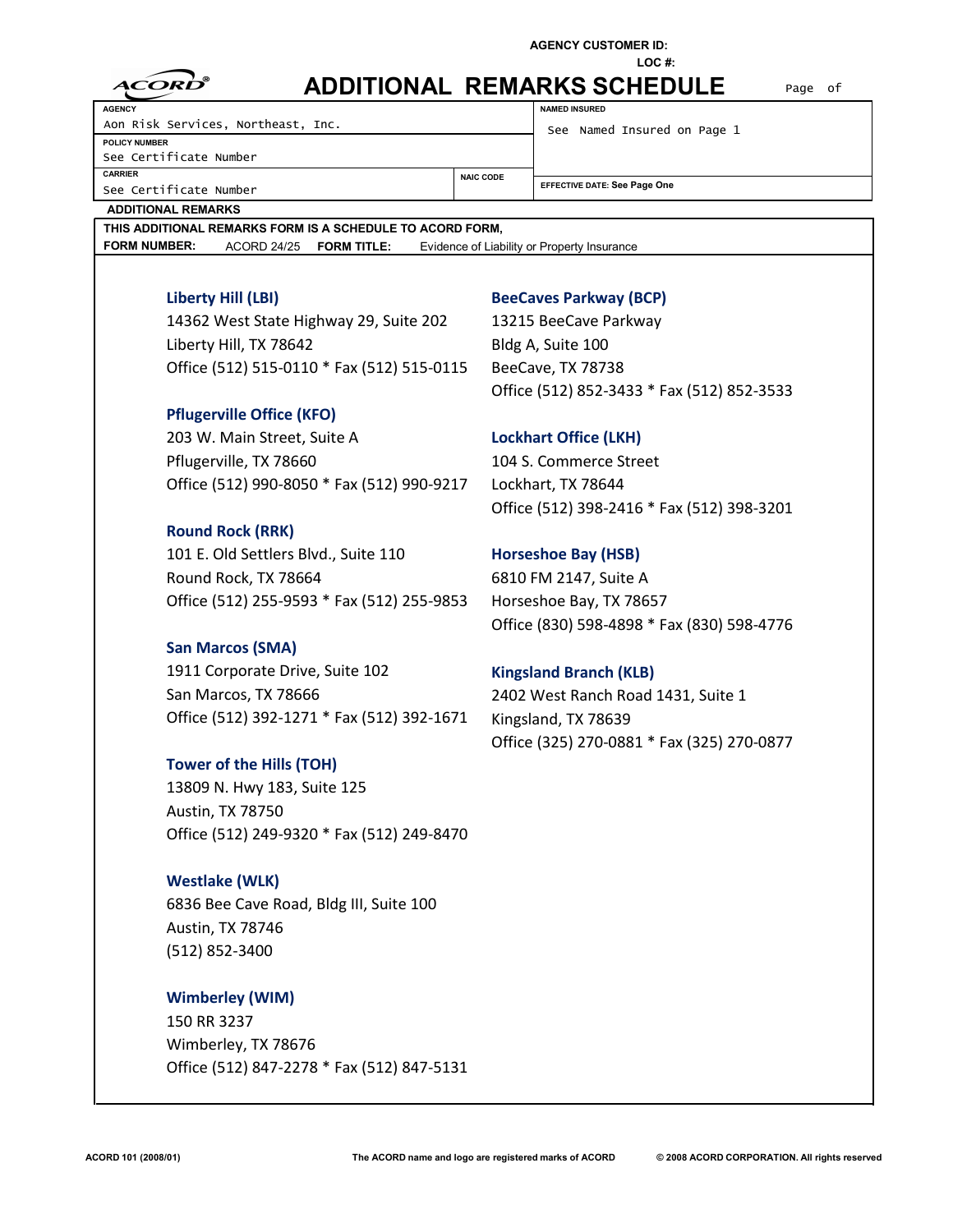**LOC #:**

| R<br>CORD<br>A. |
|-----------------|
|                 |

# **ADDITIONAL REMARKS SCHEDULE** Page of

**NAIC CODE**

**AGENCY** Aon Risk Services, Northeast, Inc. **POLICY NUMBER** See Certificate Number **CARRIER** See Certificate Number

**NAMED INSURED**

See Named Insured on Page 1

**EFFECTIVE DATE: See Page One**

**ADDITIONAL REMARKS**

**THIS ADDITIONAL REMARKS FORM IS A SCHEDULE TO ACORD FORM, FORM NUMBER:** ACORD 24/25 **FORM TITLE:** Evidence of Liability or Property Insurance

14362 West State Highway 29, Suite 202 13215 BeeCave Parkway Liberty Hill, TX 78642 Bldg A, Suite 100 Office (512) 515-0110 \* Fax (512) 515-0115 BeeCave, TX 78738

# **Pflugerville Office (KFO)**

203 W. Main Street, Suite A **Lockhart Office (LKH)** Pflugerville, TX 78660 104 S. Commerce Street Office (512) 990-8050 \* Fax (512) 990-9217 Lockhart, TX 78644

# **Round Rock (RRK)**

101 E. Old Settlers Blvd., Suite 110 **Horseshoe Bay (HSB)** Round Rock, TX 78664 6810 FM 2147, Suite A Office (512) 255-9593 \* Fax (512) 255-9853 Horseshoe Bay, TX 78657

## **San Marcos (SMA)**

1911 Corporate Drive, Suite 102 **Kingsland Branch (KLB)** San Marcos, TX 78666 2402 West Ranch Road 1431, Suite 1 Office (512) 392-1271 \* Fax (512) 392-1671 Kingsland, TX 78639

# **Tower of the Hills (TOH)**

13809 N. Hwy 183, Suite 125 Austin, TX 78750 Office (512) 249-9320 \* Fax (512) 249-8470

# **Westlake (WLK)**

6836 Bee Cave Road, Bldg III, Suite 100 Austin, TX 78746 (512) 852-3400

# **Wimberley (WIM)**

150 RR 3237 Wimberley, TX 78676 Office (512) 847-2278 \* Fax (512) 847-5131

# **Liberty Hill (LBI) BeeCaves Parkway (BCP)**

Office (512) 852-3433 \* Fax (512) 852-3533

Office (512) 398-2416 \* Fax (512) 398-3201

Office (830) 598-4898 \* Fax (830) 598-4776

Office (325) 270-0881 \* Fax (325) 270-0877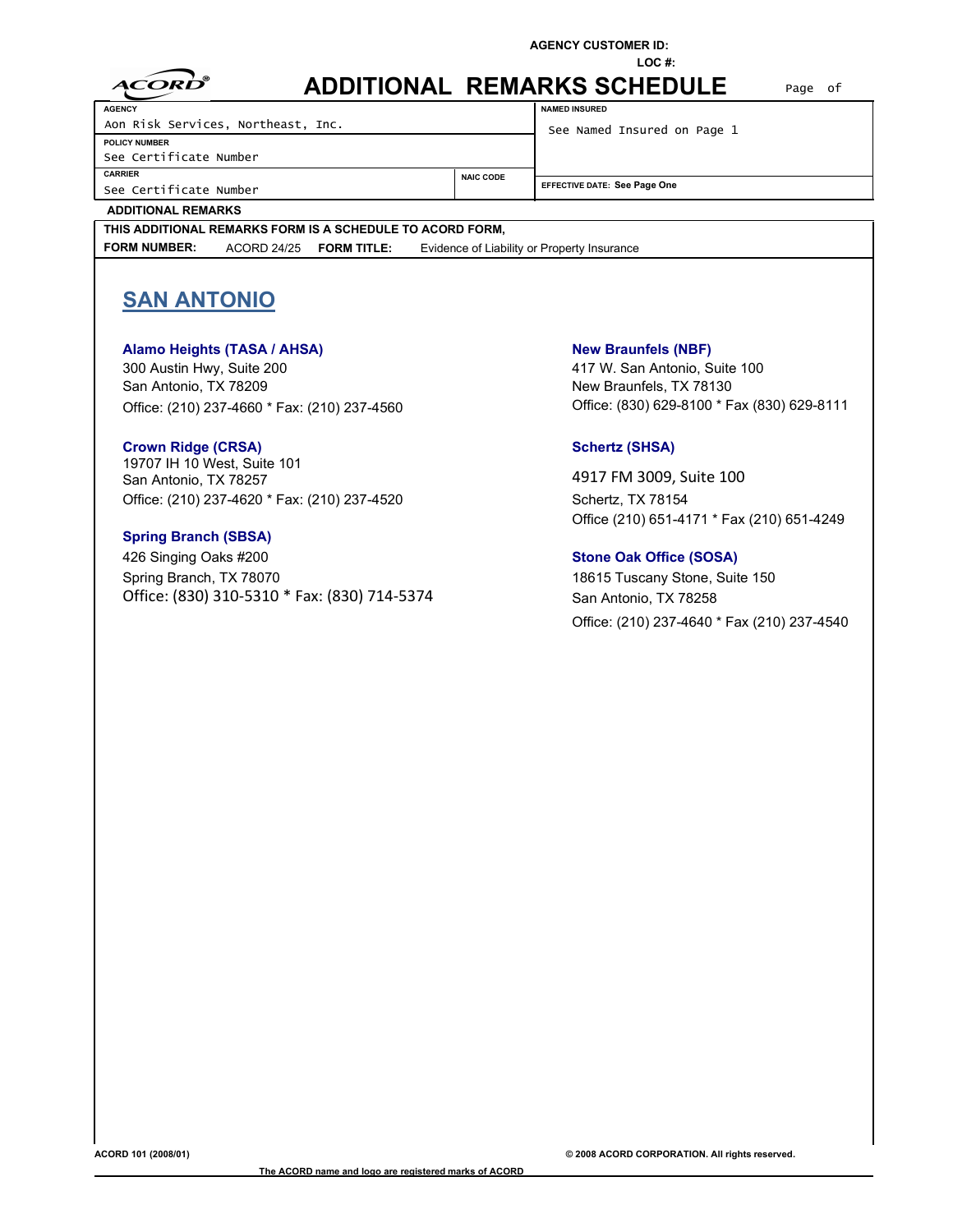**LOC #:**

| ন্স          |
|--------------|
| t :ORD<br>▲▲ |
|              |

# **ADDITIONAL REMARKS SCHEDULE NAMED INSURED**

See Certificate Number **CARRIER** See Certificate Number **AGENCY** Aon Risk Services, Northeast, Inc. See Named Insured on Page 1

Page of

**POLICY NUMBER**

**NAIC CODE EFFECTIVE DATE: See Page One** 

**ADDITIONAL REMARKS**

**THIS ADDITIONAL REMARKS FORM IS A SCHEDULE TO ACORD FORM, FORM NUMBER:** ACORD 24/25 **FORM TITLE:** Evidence of Liability or Property Insurance

# **SAN ANTONIO**

## **Alamo Heights (TASA / AHSA) New Braunfels (NBF)**

300 Austin Hwy, Suite 200 417 W. San Antonio, Suite 100 San Antonio, TX 78209 New Braunfels, TX 78130 Office: (210) 237-4660 \* Fax: (210) 237-4560 Office: (830) 629-8100 \* Fax (830) 629-8111

### **Crown Ridge (CRSA) Schertz (SHSA) Schertz (SHSA)**

19707 IH 10 West, Suite 101 San Antonio, TX 78257 1888 1992 12:33 12:34 13:35 13:36 13:37 14:3009, Suite 100 Office: (210) 237-4620 \* Fax: (210) 237-4520 Schertz, TX 78154

### **Spring Branch (SBSA)**

426 Singing Oaks #200 **Stone Oak Office (SOSA)** Spring Branch, TX 78070 18615 Tuscany Stone, Suite 150 Office: (830) 310-5310 \* Fax: (830) 714-5374 San Antonio, TX 78258

Office (210) 651-4171 \* Fax (210) 651-4249

Office: (210) 237-4640 \* Fax (210) 237-4540

**ACORD 101 (2008/01)**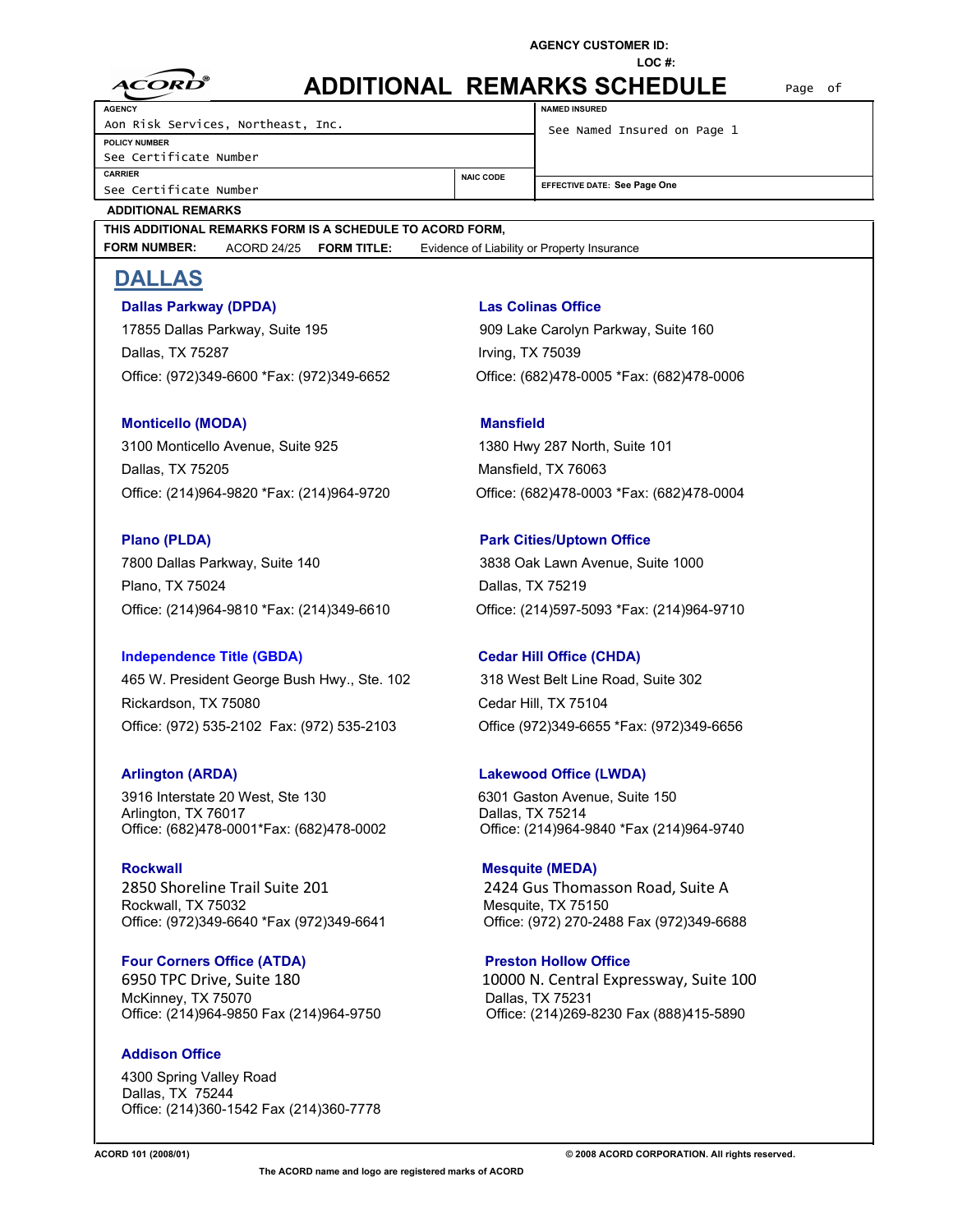**LOC #:**

| ন্স          |
|--------------|
| t :ORD<br>▲▲ |
|              |

| <b>ADDITIONAL REMARKS SCHEDULE</b> |  |
|------------------------------------|--|
|------------------------------------|--|

See Certificate Number **CARRIER** See Certificate Number **POLICY NUMBER AGENCY** Aon Risk Services, Northeast, Inc. See Named Insured on Page 1

**NAMED INSURED**

Page of

| See Certificate Number |   |  |  |  |
|------------------------|---|--|--|--|
| <b>CARRIER</b>         |   |  |  |  |
|                        | . |  |  |  |

**NAIC CODE EFFECTIVE DATE: See Page One** 

# **ADDITIONAL REMARKS**

# **THIS ADDITIONAL REMARKS FORM IS A SCHEDULE TO ACORD FORM,**

**FORM NUMBER:** ACORD 24/25 **FORM TITLE:** Evidence of Liability or Property Insurance

# **DALLAS**

# **Dallas Parkway (DPDA) Las Colinas Office**

17855 Dallas Parkway, Suite 195 909 Lake Carolyn Parkway, Suite 160 Dallas, TX 75287 Irving, TX 75039 Office: (972)349-6600 \*Fax: (972)349-6652 Office: (682)478-0005 \*Fax: (682)478-0006

# **Monticello (MODA)** Mansfield

3100 Monticello Avenue, Suite 925 1380 Hwy 287 North, Suite 101 Dallas, TX 75205 Mansfield, TX 76063 Office: (214)964-9820 \*Fax: (214)964-9720 Office: (682)478-0003 \*Fax: (682)478-0004

7800 Dallas Parkway, Suite 140 3838 Oak Lawn Avenue, Suite 1000 Plano, TX 75024 Dallas, TX 75219 Office: (214)964-9810 \*Fax: (214)349-6610 Office: (214)597-5093 \*Fax: (214)964-9710

## **Independence Title (GBDA) Cedar Hill Office (CHDA)**

465 W. President George Bush Hwy., Ste. 102 318 West Belt Line Road, Suite 302 Rickardson, TX 75080 Cedar Hill, TX 75104 Office: (972) 535-2102 Fax: (972) 535-2103 Office (972)349-6655 \*Fax: (972)349-6656

3916 Interstate 20 West, Ste 130 6301 Gaston Avenue, Suite 150 Arlington, TX 76017<br>Office: (682)478-0001\*Fax: (682)478-0002 Office: (214)964-9

**Rockwall Rockwall Mesquite (MEDA)** 2850 Shoreline Trail Suite 201 2424 Gus Thomasson Road, Suite A Rockwall, TX 75032<br>Office: (972)349-6640 \*Fax (972)349-6641 Office: (972) 270-24

# **Four Corners Office (ATDA) By Preston Hollow Office** McKinney, TX 75070 Dallas, TX 75231

## **Addison Office**

4300 Spring Valley Road Dallas, TX 75244 Office: (214)360-1542 Fax (214)360-7778

# **Plano (PLDA)** Park Cities/Uptown Office

# **Arlington (ARDA) Lakewood Office (LWDA)**

Office: (214)964-9840 \*Fax (214)964-9740

Office: (972) 270-2488 Fax (972)349-6688

6950 TPC Drive, Suite 180 10000 N. Central Expressway, Suite 100 Office: (214)964-9850 Fax (214)964-9750 Office: (214)269-8230 Fax (888)415-5890